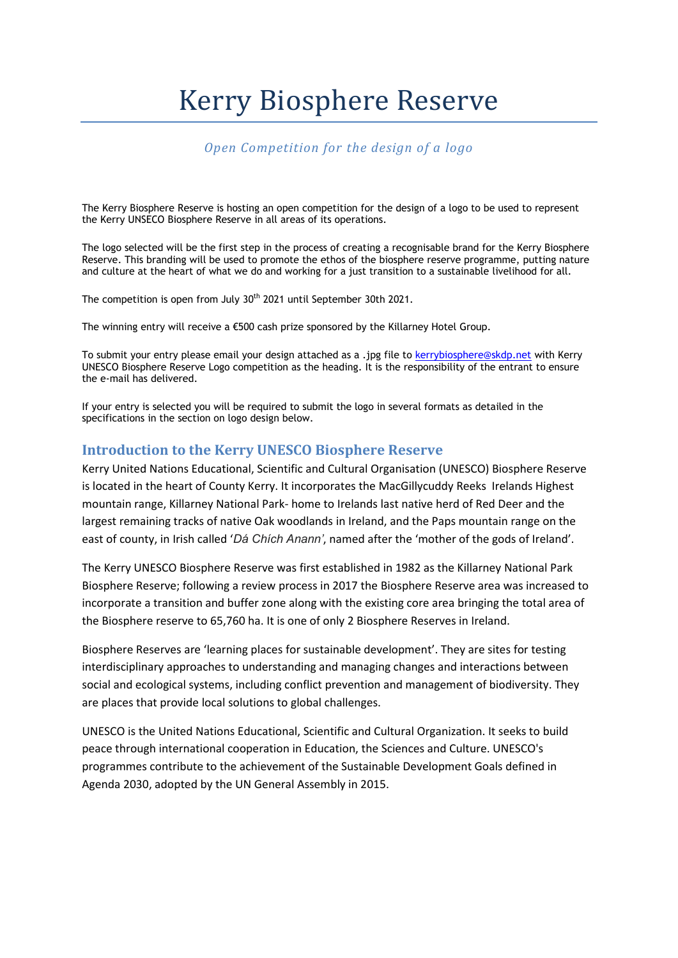# Kerry Biosphere Reserve

# *Open Competition for the design of a logo*

The Kerry Biosphere Reserve is hosting an open competition for the design of a logo to be used to represent the Kerry UNSECO Biosphere Reserve in all areas of its operations.

The logo selected will be the first step in the process of creating a recognisable brand for the Kerry Biosphere Reserve. This branding will be used to promote the ethos of the biosphere reserve programme, putting nature and culture at the heart of what we do and working for a just transition to a sustainable livelihood for all.

The competition is open from July 30<sup>th</sup> 2021 until September 30th 2021.

The winning entry will receive a €500 cash prize sponsored by the Killarney Hotel Group.

To submit your entry please email your design attached as a .jpg file to [kerrybiosphere@skdp.net](mailto:kerrybiosphere@skdp.net) with Kerry UNESCO Biosphere Reserve Logo competition as the heading. It is the responsibility of the entrant to ensure the e-mail has delivered.

If your entry is selected you will be required to submit the logo in several formats as detailed in the specifications in the section on logo design below.

## **Introduction to the Kerry UNESCO Biosphere Reserve**

Kerry United Nations Educational, Scientific and Cultural Organisation (UNESCO) Biosphere Reserve is located in the heart of County Kerry. It incorporates the MacGillycuddy Reeks Irelands Highest mountain range, Killarney National Park- home to Irelands last native herd of Red Deer and the largest remaining tracks of native Oak woodlands in Ireland, and the Paps mountain range on the east of county, in Irish called '*Dá Chích Anann'*, named after the 'mother of the gods of Ireland'.

The Kerry UNESCO Biosphere Reserve was first established in 1982 as the Killarney National Park Biosphere Reserve; following a review process in 2017 the Biosphere Reserve area was increased to incorporate a transition and buffer zone along with the existing core area bringing the total area of the Biosphere reserve to 65,760 ha. It is one of only 2 Biosphere Reserves in Ireland.

Biosphere Reserves are 'learning places for sustainable development'. They are sites for testing interdisciplinary approaches to understanding and managing changes and interactions between social and ecological systems, including conflict prevention and management of biodiversity. They are places that provide local solutions to global challenges.

UNESCO is the United Nations Educational, Scientific and Cultural Organization. It seeks to build peace through international cooperation in Education, the Sciences and Culture. UNESCO's programmes contribute to the achievement of the Sustainable Development Goals defined in Agenda 2030, adopted by the UN General Assembly in 2015.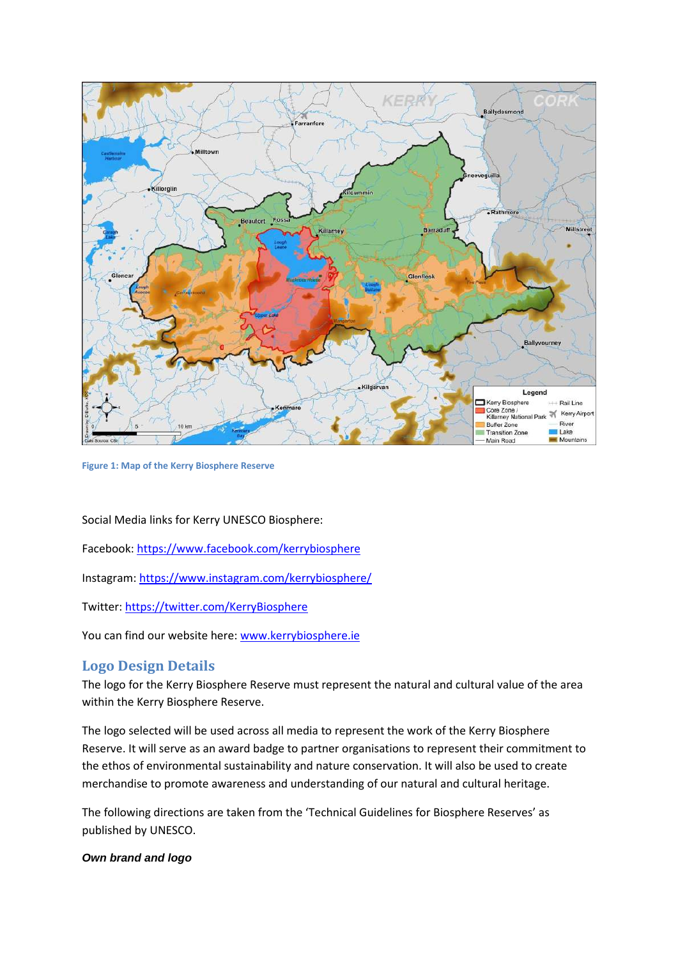

**Figure 1: Map of the Kerry Biosphere Reserve**

Social Media links for Kerry UNESCO Biosphere:

Facebook:<https://www.facebook.com/kerrybiosphere>

Instagram:<https://www.instagram.com/kerrybiosphere/>

Twitter:<https://twitter.com/KerryBiosphere>

You can find our website here: [www.kerrybiosphere.ie](http://www.kerrybiosphere.ie/)

## **Logo Design Details**

The logo for the Kerry Biosphere Reserve must represent the natural and cultural value of the area within the Kerry Biosphere Reserve.

The logo selected will be used across all media to represent the work of the Kerry Biosphere Reserve. It will serve as an award badge to partner organisations to represent their commitment to the ethos of environmental sustainability and nature conservation. It will also be used to create merchandise to promote awareness and understanding of our natural and cultural heritage.

The following directions are taken from the 'Technical Guidelines for Biosphere Reserves' as published by UNESCO.

#### *Own brand and logo*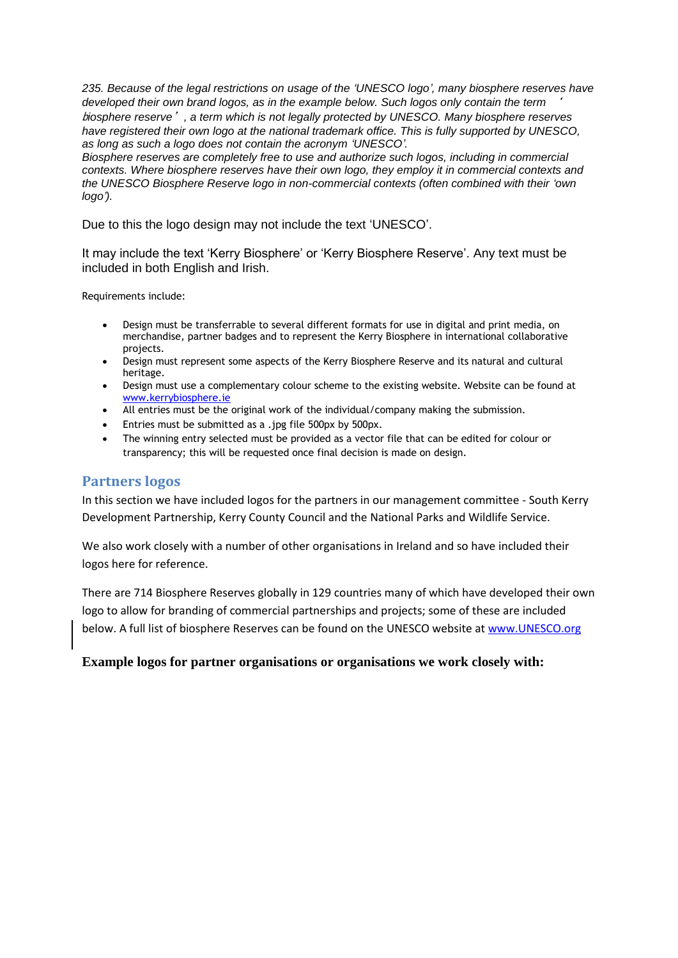*235. Because of the legal restrictions on usage of the 'UNESCO logo', many biosphere reserves have developed their own brand logos, as in the example below. Such logos only contain the term* ' b*iosphere reserve*'*, a term which is not legally protected by UNESCO. Many biosphere reserves have registered their own logo at the national trademark office. This is fully supported by UNESCO, as long as such a logo does not contain the acronym 'UNESCO'.* 

*Biosphere reserves are completely free to use and authorize such logos, including in commercial contexts. Where biosphere reserves have their own logo, they employ it in commercial contexts and the UNESCO Biosphere Reserve logo in non-commercial contexts (often combined with their 'own logo').* 

Due to this the logo design may not include the text 'UNESCO'.

It may include the text 'Kerry Biosphere' or 'Kerry Biosphere Reserve'. Any text must be included in both English and Irish.

Requirements include:

- Design must be transferrable to several different formats for use in digital and print media, on merchandise, partner badges and to represent the Kerry Biosphere in international collaborative projects.
- Design must represent some aspects of the Kerry Biosphere Reserve and its natural and cultural heritage.
- Design must use a complementary colour scheme to the existing website. Website can be found at [www.kerrybiosphere.ie](http://www.kerrybiosphere.ie/)
- All entries must be the original work of the individual/company making the submission.
- Entries must be submitted as a .jpg file 500px by 500px.
- The winning entry selected must be provided as a vector file that can be edited for colour or transparency; this will be requested once final decision is made on design.

#### **Partners logos**

In this section we have included logos for the partners in our management committee - South Kerry Development Partnership, Kerry County Council and the National Parks and Wildlife Service.

We also work closely with a number of other organisations in Ireland and so have included their logos here for reference.

There are 714 Biosphere Reserves globally in 129 countries many of which have developed their own logo to allow for branding of commercial partnerships and projects; some of these are included below. A full list of biosphere Reserves can be found on the UNESCO website a[t www.UNESCO.org](http://www.unesco.org/)

#### **Example logos for partner organisations or organisations we work closely with:**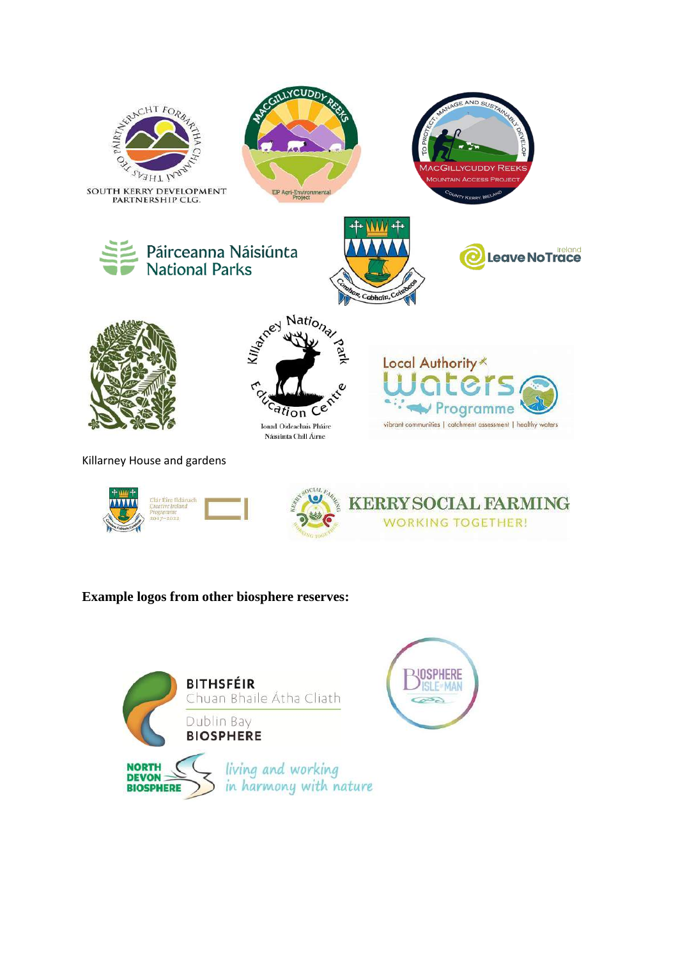

# **Example logos from other biosphere reserves:**